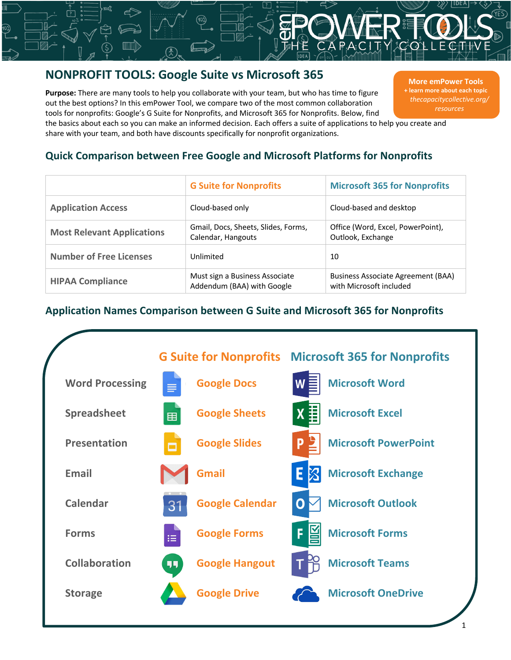# **NONPROFIT TOOLS: Google Suite vs Microsoft 365**

**Purpose:** There are many tools to help you collaborate with your team, but who has time to figure out the best options? In this emPower Tool, we compare two of the most common collaboration tools for nonprofits: Google's G Suite for Nonprofits, and Microsoft 365 for Nonprofits. Below, find

**More emPower Tools + learn more about each topic** *thecapacitycollective.org/ resources*

the basics about each so you can make an informed decision. Each offers a suite of applications to help you create and share with your team, and both have discounts specifically for nonprofit organizations.

#### **Quick Comparison between Free Google and Microsoft Platforms for Nonprofits**

|                                   | <b>G Suite for Nonprofits</b>                                | <b>Microsoft 365 for Nonprofits</b>                                  |
|-----------------------------------|--------------------------------------------------------------|----------------------------------------------------------------------|
| <b>Application Access</b>         | Cloud-based only                                             | Cloud-based and desktop                                              |
| <b>Most Relevant Applications</b> | Gmail, Docs, Sheets, Slides, Forms,<br>Calendar, Hangouts    | Office (Word, Excel, PowerPoint),<br>Outlook, Exchange               |
| <b>Number of Free Licenses</b>    | Unlimited                                                    | 10                                                                   |
| <b>HIPAA Compliance</b>           | Must sign a Business Associate<br>Addendum (BAA) with Google | <b>Business Associate Agreement (BAA)</b><br>with Microsoft included |

### **Application Names Comparison between G Suite and Microsoft 365 for Nonprofits**